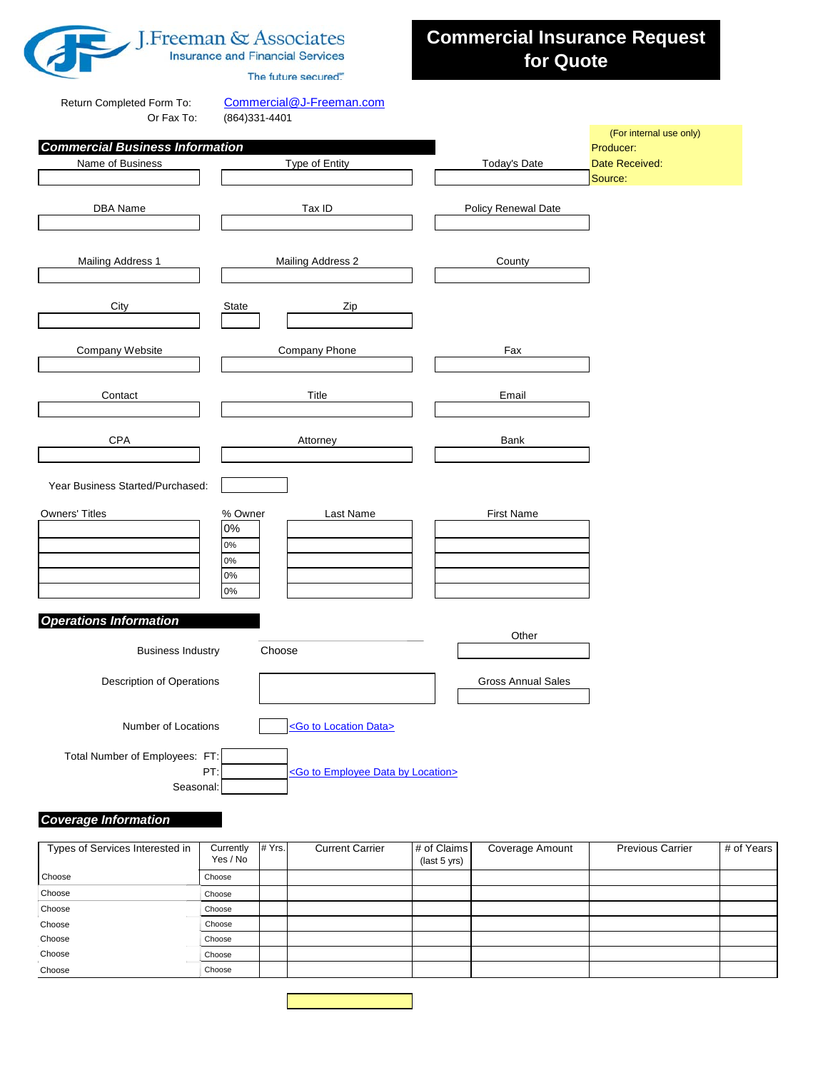

## J. Freeman & Associates **Insurance and Financial Services**

The future secured."

## **Commercial Insurance Request for Quote**

Return Completed Form To: [Commercial@J-Freeman.com](mailto:Commercial@J-Freeman.com)

 $(864)331 - 4401$ 

|                                        |                   |                                                       |                           | (For internal use only)   |
|----------------------------------------|-------------------|-------------------------------------------------------|---------------------------|---------------------------|
| <b>Commercial Business Information</b> |                   |                                                       |                           | Producer:                 |
| Name of Business                       |                   | Type of Entity                                        | <b>Today's Date</b>       | Date Received:<br>Source: |
|                                        |                   |                                                       |                           |                           |
| DBA Name                               | Tax ID            |                                                       | Policy Renewal Date       |                           |
|                                        |                   |                                                       |                           |                           |
|                                        |                   |                                                       |                           |                           |
| Mailing Address 1                      | Mailing Address 2 |                                                       | County                    |                           |
|                                        |                   |                                                       |                           |                           |
| City                                   | <b>State</b>      | Zip                                                   |                           |                           |
|                                        |                   |                                                       |                           |                           |
| Company Website                        | Company Phone     |                                                       | Fax                       |                           |
|                                        |                   |                                                       |                           |                           |
|                                        |                   |                                                       |                           |                           |
| Contact                                | Title             |                                                       | Email                     |                           |
|                                        |                   |                                                       |                           |                           |
| CPA                                    | Attorney          |                                                       | Bank                      |                           |
|                                        |                   |                                                       |                           |                           |
|                                        |                   |                                                       |                           |                           |
| Year Business Started/Purchased:       |                   |                                                       |                           |                           |
| <b>Owners' Titles</b>                  | % Owner           | Last Name                                             | <b>First Name</b>         |                           |
|                                        | 0%                |                                                       |                           |                           |
|                                        | $0\%$             |                                                       |                           |                           |
|                                        | $0\%$<br>$0\%$    |                                                       |                           |                           |
|                                        | $0\%$             |                                                       |                           |                           |
|                                        |                   |                                                       |                           |                           |
| <b>Operations Information</b>          |                   |                                                       |                           |                           |
| <b>Business Industry</b>               | Choose            |                                                       | Other                     |                           |
|                                        |                   |                                                       |                           |                           |
| <b>Description of Operations</b>       |                   |                                                       | <b>Gross Annual Sales</b> |                           |
|                                        |                   |                                                       |                           |                           |
| Number of Locations                    |                   | <go data="" location="" to=""></go>                   |                           |                           |
|                                        |                   |                                                       |                           |                           |
| Total Number of Employees: FT:         |                   |                                                       |                           |                           |
| PT:                                    |                   | <go by="" data="" employee="" location="" to=""></go> |                           |                           |
| Seasonal:                              |                   |                                                       |                           |                           |

## *Coverage Information*

| Types of Services Interested in | Currently<br>Yes / No | # Yrs. | <b>Current Carrier</b> | # of Claims<br>(last 5 yrs) | Coverage Amount | <b>Previous Carrier</b> | # of Years |
|---------------------------------|-----------------------|--------|------------------------|-----------------------------|-----------------|-------------------------|------------|
| Choose                          | Choose                |        |                        |                             |                 |                         |            |
| Choose                          | Choose                |        |                        |                             |                 |                         |            |
| Choose                          | Choose                |        |                        |                             |                 |                         |            |
| Choose                          | Choose                |        |                        |                             |                 |                         |            |
| Choose                          | Choose                |        |                        |                             |                 |                         |            |
| Choose                          | Choose                |        |                        |                             |                 |                         |            |
| Choose                          | Choose                |        |                        |                             |                 |                         |            |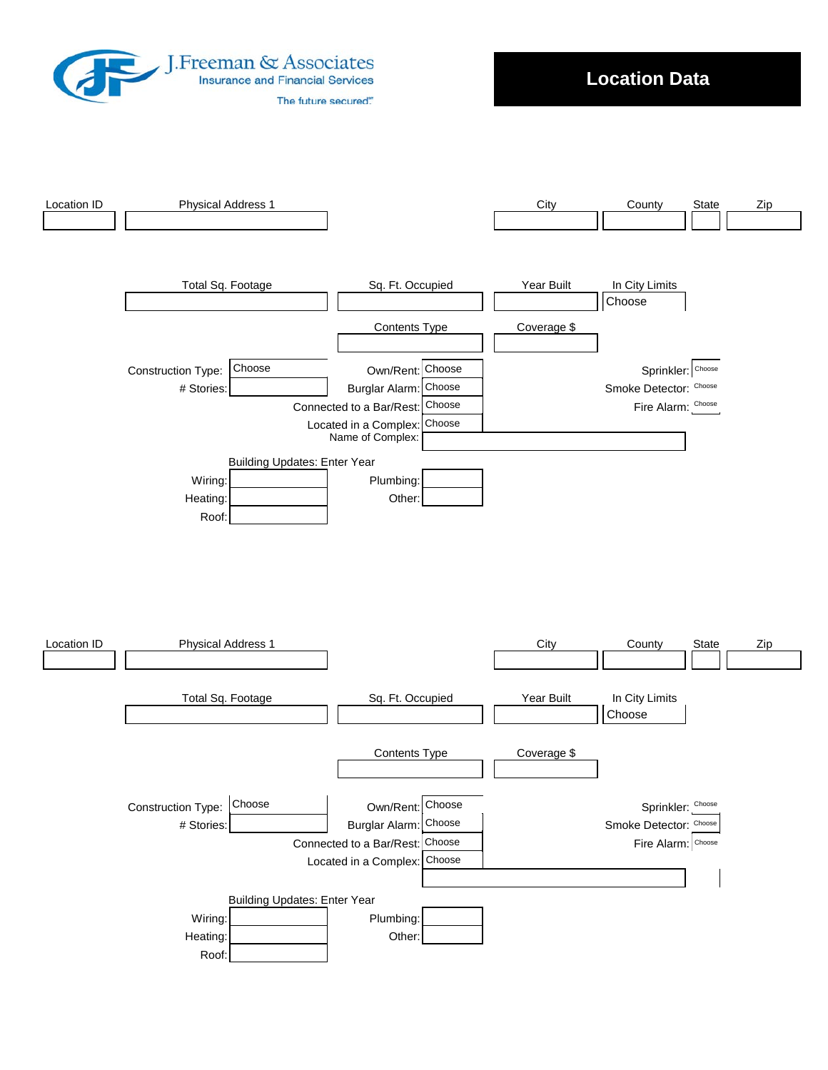

**Location Data**

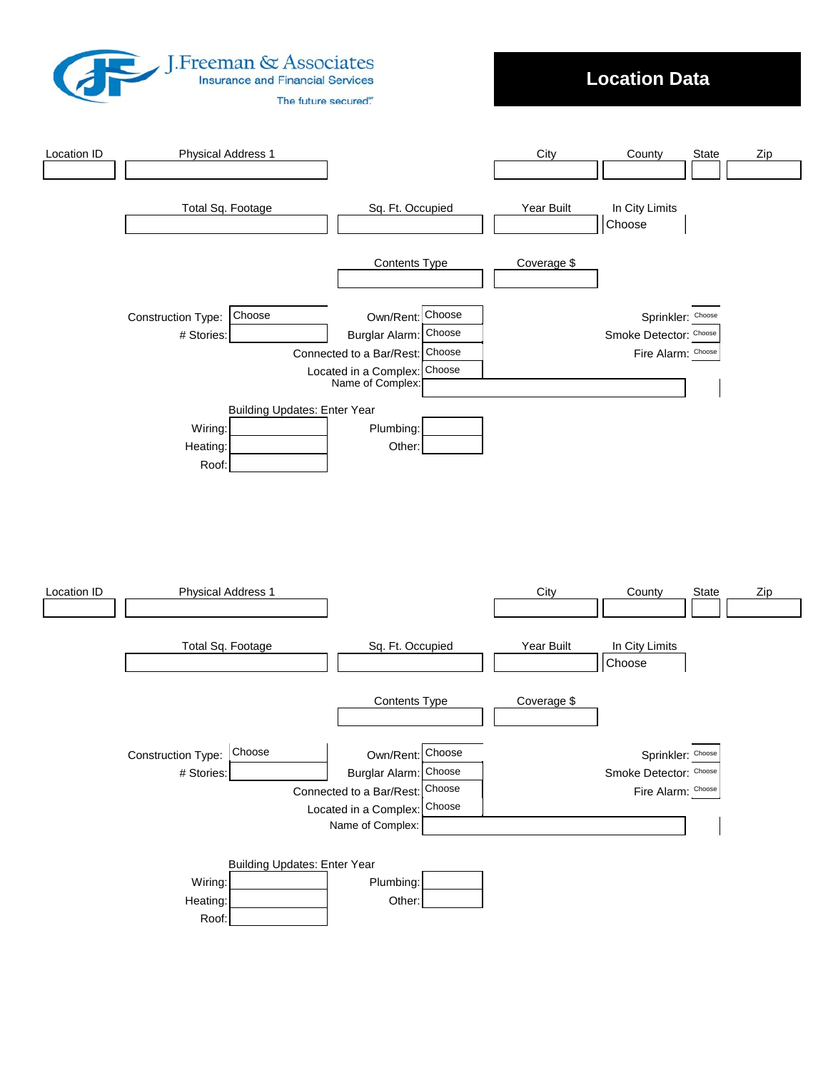<span id="page-2-0"></span>